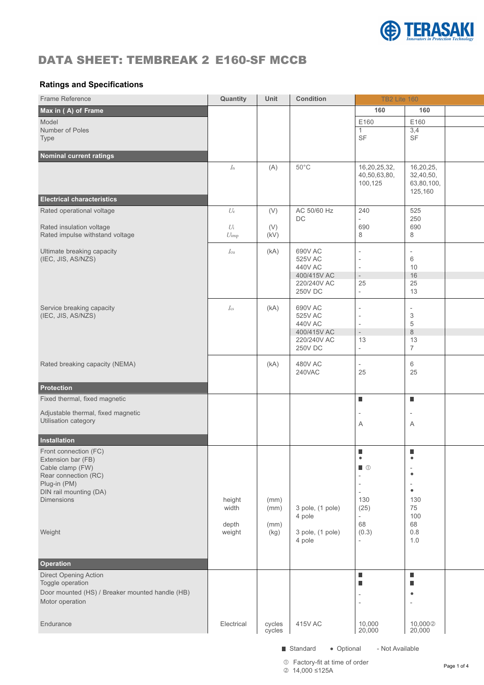

## DATA SHEET: TEMBREAK 2 E160-SF MCCB

## **Ratings and Specifications**

| 160<br>160<br>E160<br>E160<br>3,4<br>SF<br>$\ensuremath{\mathsf{SF}}\xspace$<br>(A)<br>$50^{\circ}$ C<br>16,20,25,32,<br>16,20,25,<br>$I_n$<br>40,50,63,80,<br>32,40,50,<br>100,125<br>63,80,100,<br>125,160<br><b>Electrical characteristics</b><br>AC 50/60 Hz<br>240<br>(V)<br>525<br>$U_{e}$<br>DC<br>250<br>$\overline{a}$<br>690<br>690<br>Rated insulation voltage<br>(V)<br>$U_1$<br>(kV)<br>8<br>8<br>$U_{\rm imp}$<br>(kA)<br>690V AC<br>$I_{\rm cu}$<br>$\overline{\phantom{a}}$<br>$\overline{\phantom{a}}$<br>525V AC<br>6<br>$\sim$<br>440V AC<br>10<br>$\sim$<br>$16\,$<br>400/415V AC<br>$\sim$<br>220/240V AC<br>25<br>25<br><b>250V DC</b><br>13<br>$\sim$<br>(kA)<br>690V AC<br>$I_{cs}$<br>$\overline{\phantom{a}}$<br>525V AC<br>3<br>$\overline{\phantom{a}}$<br>440V AC<br>5<br>$\overline{\phantom{a}}$<br>$\,8\,$<br>400/415V AC<br>$\sim$<br>220/240V AC<br>13<br>13<br><b>250V DC</b><br>$\overline{7}$<br>$\sim$<br>(kA)<br><b>480V AC</b><br>6<br>$\overline{\phantom{a}}$<br>25<br><b>240VAC</b><br>25<br>$\blacksquare$<br>$\blacksquare$<br>$\overline{\phantom{a}}$<br>A<br>A<br>Installation<br>$\blacksquare$<br>п<br>$\hfill\Box$<br>$\overline{\phantom{a}}$<br>$\bullet$<br>$\overline{\phantom{a}}$<br>$\sim$<br>$\overline{\phantom{a}}$<br>$\bullet$<br>$\overline{a}$<br>130<br>130<br>height<br>(mm)<br>3 pole, (1 pole)<br>(25)<br>75<br>width<br>(mm)<br>100<br>4 pole<br>$\sim$<br>68<br>68<br>depth<br>(mm)<br>(0.3)<br>$0.8\,$<br>3 pole, (1 pole)<br>weight<br>(kg)<br>1.0<br>4 pole<br>$\overline{\phantom{a}}$<br>$\blacksquare$<br>п<br>$\blacksquare$<br>п<br>$\bullet$<br>$\overline{\phantom{a}}$<br>$\sim$<br>$\overline{\phantom{a}}$<br>415V AC<br>10,000<br>20,000<br>10,0002<br>Electrical<br>cycles<br>cycles<br>20,000 | Frame Reference                                                                                                                                 | Quantity | Unit | Condition | <b>TB2 Lite 160</b> |  |
|--------------------------------------------------------------------------------------------------------------------------------------------------------------------------------------------------------------------------------------------------------------------------------------------------------------------------------------------------------------------------------------------------------------------------------------------------------------------------------------------------------------------------------------------------------------------------------------------------------------------------------------------------------------------------------------------------------------------------------------------------------------------------------------------------------------------------------------------------------------------------------------------------------------------------------------------------------------------------------------------------------------------------------------------------------------------------------------------------------------------------------------------------------------------------------------------------------------------------------------------------------------------------------------------------------------------------------------------------------------------------------------------------------------------------------------------------------------------------------------------------------------------------------------------------------------------------------------------------------------------------------------------------------------------------------------------------------------------------------------------------------------------------------------|-------------------------------------------------------------------------------------------------------------------------------------------------|----------|------|-----------|---------------------|--|
|                                                                                                                                                                                                                                                                                                                                                                                                                                                                                                                                                                                                                                                                                                                                                                                                                                                                                                                                                                                                                                                                                                                                                                                                                                                                                                                                                                                                                                                                                                                                                                                                                                                                                                                                                                                      | Max in (A) of Frame                                                                                                                             |          |      |           |                     |  |
|                                                                                                                                                                                                                                                                                                                                                                                                                                                                                                                                                                                                                                                                                                                                                                                                                                                                                                                                                                                                                                                                                                                                                                                                                                                                                                                                                                                                                                                                                                                                                                                                                                                                                                                                                                                      | Model                                                                                                                                           |          |      |           |                     |  |
|                                                                                                                                                                                                                                                                                                                                                                                                                                                                                                                                                                                                                                                                                                                                                                                                                                                                                                                                                                                                                                                                                                                                                                                                                                                                                                                                                                                                                                                                                                                                                                                                                                                                                                                                                                                      | Number of Poles                                                                                                                                 |          |      |           |                     |  |
|                                                                                                                                                                                                                                                                                                                                                                                                                                                                                                                                                                                                                                                                                                                                                                                                                                                                                                                                                                                                                                                                                                                                                                                                                                                                                                                                                                                                                                                                                                                                                                                                                                                                                                                                                                                      | Type                                                                                                                                            |          |      |           |                     |  |
|                                                                                                                                                                                                                                                                                                                                                                                                                                                                                                                                                                                                                                                                                                                                                                                                                                                                                                                                                                                                                                                                                                                                                                                                                                                                                                                                                                                                                                                                                                                                                                                                                                                                                                                                                                                      | Nominal current ratings                                                                                                                         |          |      |           |                     |  |
|                                                                                                                                                                                                                                                                                                                                                                                                                                                                                                                                                                                                                                                                                                                                                                                                                                                                                                                                                                                                                                                                                                                                                                                                                                                                                                                                                                                                                                                                                                                                                                                                                                                                                                                                                                                      |                                                                                                                                                 |          |      |           |                     |  |
|                                                                                                                                                                                                                                                                                                                                                                                                                                                                                                                                                                                                                                                                                                                                                                                                                                                                                                                                                                                                                                                                                                                                                                                                                                                                                                                                                                                                                                                                                                                                                                                                                                                                                                                                                                                      |                                                                                                                                                 |          |      |           |                     |  |
|                                                                                                                                                                                                                                                                                                                                                                                                                                                                                                                                                                                                                                                                                                                                                                                                                                                                                                                                                                                                                                                                                                                                                                                                                                                                                                                                                                                                                                                                                                                                                                                                                                                                                                                                                                                      | Rated operational voltage                                                                                                                       |          |      |           |                     |  |
|                                                                                                                                                                                                                                                                                                                                                                                                                                                                                                                                                                                                                                                                                                                                                                                                                                                                                                                                                                                                                                                                                                                                                                                                                                                                                                                                                                                                                                                                                                                                                                                                                                                                                                                                                                                      |                                                                                                                                                 |          |      |           |                     |  |
|                                                                                                                                                                                                                                                                                                                                                                                                                                                                                                                                                                                                                                                                                                                                                                                                                                                                                                                                                                                                                                                                                                                                                                                                                                                                                                                                                                                                                                                                                                                                                                                                                                                                                                                                                                                      | Rated impulse withstand voltage                                                                                                                 |          |      |           |                     |  |
|                                                                                                                                                                                                                                                                                                                                                                                                                                                                                                                                                                                                                                                                                                                                                                                                                                                                                                                                                                                                                                                                                                                                                                                                                                                                                                                                                                                                                                                                                                                                                                                                                                                                                                                                                                                      | Ultimate breaking capacity<br>(IEC, JIS, AS/NZS)                                                                                                |          |      |           |                     |  |
|                                                                                                                                                                                                                                                                                                                                                                                                                                                                                                                                                                                                                                                                                                                                                                                                                                                                                                                                                                                                                                                                                                                                                                                                                                                                                                                                                                                                                                                                                                                                                                                                                                                                                                                                                                                      |                                                                                                                                                 |          |      |           |                     |  |
|                                                                                                                                                                                                                                                                                                                                                                                                                                                                                                                                                                                                                                                                                                                                                                                                                                                                                                                                                                                                                                                                                                                                                                                                                                                                                                                                                                                                                                                                                                                                                                                                                                                                                                                                                                                      | Service breaking capacity<br>(IEC, JIS, AS/NZS)                                                                                                 |          |      |           |                     |  |
|                                                                                                                                                                                                                                                                                                                                                                                                                                                                                                                                                                                                                                                                                                                                                                                                                                                                                                                                                                                                                                                                                                                                                                                                                                                                                                                                                                                                                                                                                                                                                                                                                                                                                                                                                                                      |                                                                                                                                                 |          |      |           |                     |  |
|                                                                                                                                                                                                                                                                                                                                                                                                                                                                                                                                                                                                                                                                                                                                                                                                                                                                                                                                                                                                                                                                                                                                                                                                                                                                                                                                                                                                                                                                                                                                                                                                                                                                                                                                                                                      |                                                                                                                                                 |          |      |           |                     |  |
|                                                                                                                                                                                                                                                                                                                                                                                                                                                                                                                                                                                                                                                                                                                                                                                                                                                                                                                                                                                                                                                                                                                                                                                                                                                                                                                                                                                                                                                                                                                                                                                                                                                                                                                                                                                      | Rated breaking capacity (NEMA)                                                                                                                  |          |      |           |                     |  |
|                                                                                                                                                                                                                                                                                                                                                                                                                                                                                                                                                                                                                                                                                                                                                                                                                                                                                                                                                                                                                                                                                                                                                                                                                                                                                                                                                                                                                                                                                                                                                                                                                                                                                                                                                                                      | Protection                                                                                                                                      |          |      |           |                     |  |
|                                                                                                                                                                                                                                                                                                                                                                                                                                                                                                                                                                                                                                                                                                                                                                                                                                                                                                                                                                                                                                                                                                                                                                                                                                                                                                                                                                                                                                                                                                                                                                                                                                                                                                                                                                                      | Fixed thermal, fixed magnetic                                                                                                                   |          |      |           |                     |  |
|                                                                                                                                                                                                                                                                                                                                                                                                                                                                                                                                                                                                                                                                                                                                                                                                                                                                                                                                                                                                                                                                                                                                                                                                                                                                                                                                                                                                                                                                                                                                                                                                                                                                                                                                                                                      | Adjustable thermal, fixed magnetic<br>Utilisation category                                                                                      |          |      |           |                     |  |
|                                                                                                                                                                                                                                                                                                                                                                                                                                                                                                                                                                                                                                                                                                                                                                                                                                                                                                                                                                                                                                                                                                                                                                                                                                                                                                                                                                                                                                                                                                                                                                                                                                                                                                                                                                                      |                                                                                                                                                 |          |      |           |                     |  |
|                                                                                                                                                                                                                                                                                                                                                                                                                                                                                                                                                                                                                                                                                                                                                                                                                                                                                                                                                                                                                                                                                                                                                                                                                                                                                                                                                                                                                                                                                                                                                                                                                                                                                                                                                                                      | Front connection (FC)<br>Extension bar (FB)<br>Cable clamp (FW)<br>Rear connection (RC)<br>Plug-in (PM)<br>DIN rail mounting (DA)<br>Dimensions |          |      |           |                     |  |
|                                                                                                                                                                                                                                                                                                                                                                                                                                                                                                                                                                                                                                                                                                                                                                                                                                                                                                                                                                                                                                                                                                                                                                                                                                                                                                                                                                                                                                                                                                                                                                                                                                                                                                                                                                                      | Weight                                                                                                                                          |          |      |           |                     |  |
|                                                                                                                                                                                                                                                                                                                                                                                                                                                                                                                                                                                                                                                                                                                                                                                                                                                                                                                                                                                                                                                                                                                                                                                                                                                                                                                                                                                                                                                                                                                                                                                                                                                                                                                                                                                      | <b>Operation</b>                                                                                                                                |          |      |           |                     |  |
|                                                                                                                                                                                                                                                                                                                                                                                                                                                                                                                                                                                                                                                                                                                                                                                                                                                                                                                                                                                                                                                                                                                                                                                                                                                                                                                                                                                                                                                                                                                                                                                                                                                                                                                                                                                      | Direct Opening Action<br>Toggle operation<br>Door mounted (HS) / Breaker mounted handle (HB)<br>Motor operation                                 |          |      |           |                     |  |
|                                                                                                                                                                                                                                                                                                                                                                                                                                                                                                                                                                                                                                                                                                                                                                                                                                                                                                                                                                                                                                                                                                                                                                                                                                                                                                                                                                                                                                                                                                                                                                                                                                                                                                                                                                                      | Endurance                                                                                                                                       |          |      |           |                     |  |

■ Standard • Optional - Not Available

<sup>1</sup> Pactory-fit at time of order<br>
<sup>2</sup> 4 4 200 4 25 Å 14,000 ≤125A